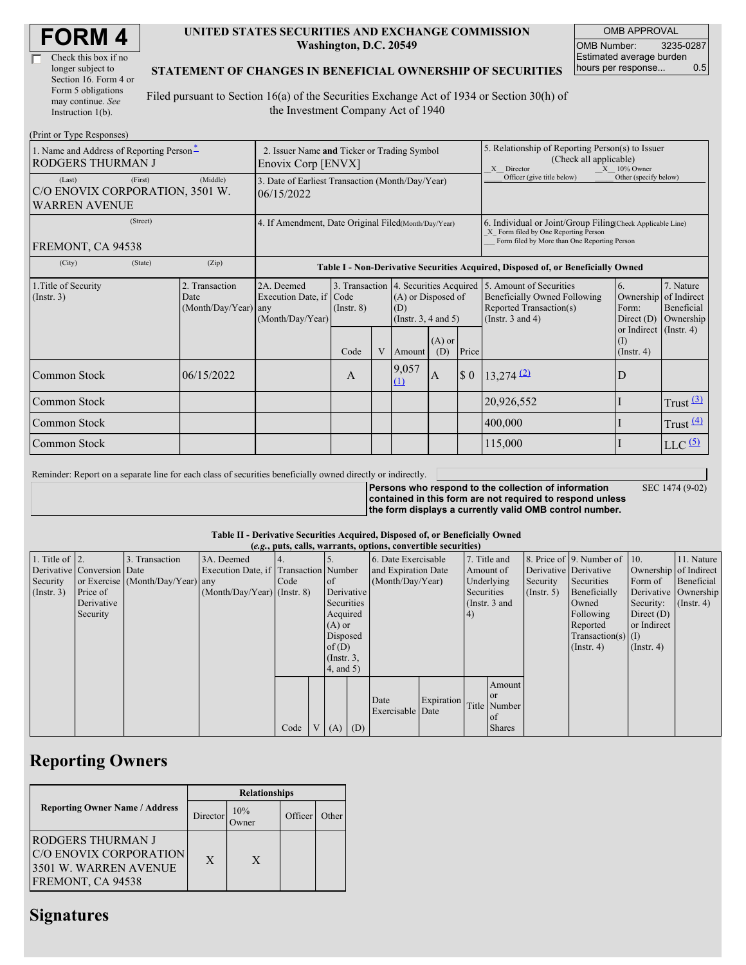| <b>FORM4</b> |
|--------------|
|--------------|

| Check this box if no  |
|-----------------------|
| longer subject to     |
| Section 16. Form 4 or |
| Form 5 obligations    |
| may continue. See     |
| Instruction 1(b).     |

 $(D_{\text{rint}} \text{ or } \text{T}$ yne  $D_{\ell}$ 

#### **UNITED STATES SECURITIES AND EXCHANGE COMMISSION Washington, D.C. 20549**

OMB APPROVAL OMB Number: 3235-0287 Estimated average burden hours per response... 0.5

### **STATEMENT OF CHANGES IN BENEFICIAL OWNERSHIP OF SECURITIES**

Filed pursuant to Section 16(a) of the Securities Exchange Act of 1934 or Section 30(h) of the Investment Company Act of 1940

| $(1 \text{ min of 1 ypc }$ Responses)<br>1. Name and Address of Reporting Person-<br><b>RODGERS THURMAN J</b> | 2. Issuer Name and Ticker or Trading Symbol<br>Enovix Corp [ENVX] |                                                                                  |                 |   |                                                                                                                        | 5. Relationship of Reporting Person(s) to Issuer<br>(Check all applicable)<br>$X = 10\%$ Owner<br>X Director |                                                                                                                                                    |                                                                                  |                                                         |                                      |  |
|---------------------------------------------------------------------------------------------------------------|-------------------------------------------------------------------|----------------------------------------------------------------------------------|-----------------|---|------------------------------------------------------------------------------------------------------------------------|--------------------------------------------------------------------------------------------------------------|----------------------------------------------------------------------------------------------------------------------------------------------------|----------------------------------------------------------------------------------|---------------------------------------------------------|--------------------------------------|--|
| (First)<br>(Last)<br>C/O ENOVIX CORPORATION, 3501 W.<br><b>WARREN AVENUE</b>                                  | (Middle)                                                          | 3. Date of Earliest Transaction (Month/Day/Year)<br>06/15/2022                   |                 |   |                                                                                                                        |                                                                                                              |                                                                                                                                                    | Other (specify below)<br>Officer (give title below)                              |                                                         |                                      |  |
| (Street)<br>FREMONT, CA 94538                                                                                 | 4. If Amendment, Date Original Filed(Month/Day/Year)              |                                                                                  |                 |   |                                                                                                                        |                                                                                                              | 6. Individual or Joint/Group Filing Check Applicable Line)<br>X Form filed by One Reporting Person<br>Form filed by More than One Reporting Person |                                                                                  |                                                         |                                      |  |
| (City)<br>(State)                                                                                             | (Zip)                                                             | Table I - Non-Derivative Securities Acquired, Disposed of, or Beneficially Owned |                 |   |                                                                                                                        |                                                                                                              |                                                                                                                                                    |                                                                                  |                                                         |                                      |  |
| 1. Title of Security<br>$($ Instr. 3 $)$                                                                      | 2. Transaction<br>Date<br>(Month/Day/Year) any                    | 2A. Deemed<br>Execution Date, if Code<br>(Month/Day/Year)                        | $($ Instr. $8)$ |   | 3. Transaction 4. Securities Acquired 5. Amount of Securities<br>(A) or Disposed of<br>(D)<br>(Instr. $3, 4$ and $5$ ) |                                                                                                              |                                                                                                                                                    | Beneficially Owned Following<br>Reported Transaction(s)<br>(Instr. $3$ and $4$ ) | 6.<br>Ownership of Indirect<br>Form:<br>Direct $(D)$    | 7. Nature<br>Beneficial<br>Ownership |  |
|                                                                                                               |                                                                   |                                                                                  | Code            | V | Amount                                                                                                                 | $(A)$ or<br>(D)                                                                                              | Price                                                                                                                                              |                                                                                  | or Indirect (Instr. 4)<br>$\rm (I)$<br>$($ Instr. 4 $)$ |                                      |  |
| Common Stock                                                                                                  | 06/15/2022                                                        |                                                                                  | A               |   | 9,057<br>(1)                                                                                                           | IA.                                                                                                          | $\boldsymbol{\$}\ 0$                                                                                                                               | $13,274$ $(2)$                                                                   | D                                                       |                                      |  |
| Common Stock                                                                                                  |                                                                   |                                                                                  |                 |   |                                                                                                                        |                                                                                                              |                                                                                                                                                    | 20,926,552                                                                       |                                                         | Trust $\frac{(3)}{2}$                |  |
| Common Stock                                                                                                  |                                                                   |                                                                                  |                 |   |                                                                                                                        |                                                                                                              |                                                                                                                                                    | 400,000                                                                          |                                                         | Trust $\frac{(4)}{4}$                |  |
| Common Stock                                                                                                  |                                                                   |                                                                                  |                 |   |                                                                                                                        |                                                                                                              |                                                                                                                                                    | 115,000                                                                          |                                                         | $LLC$ $(5)$                          |  |

Reminder: Report on a separate line for each class of securities beneficially owned directly or indirectly.

**Persons who respond to the collection of information contained in this form are not required to respond unless the form displays a currently valid OMB control number.**

SEC 1474 (9-02)

**Table II - Derivative Securities Acquired, Disposed of, or Beneficially Owned**

|                        | (e.g., puts, calls, warrants, options, convertible securities) |                                  |                                       |      |  |                 |     |                     |            |            |                 |               |                          |                       |               |
|------------------------|----------------------------------------------------------------|----------------------------------|---------------------------------------|------|--|-----------------|-----|---------------------|------------|------------|-----------------|---------------|--------------------------|-----------------------|---------------|
| 1. Title of $\vert$ 2. |                                                                | 3. Transaction                   | 3A. Deemed                            |      |  |                 |     | 6. Date Exercisable |            |            | 7. Title and    |               | 8. Price of 9. Number of | $\vert$ 10.           | 11. Nature    |
|                        | Derivative Conversion Date                                     |                                  | Execution Date, if Transaction Number |      |  |                 |     | and Expiration Date |            |            | Amount of       |               | Derivative Derivative    | Ownership of Indirect |               |
| Security               |                                                                | or Exercise (Month/Day/Year) any |                                       | Code |  | <sub>of</sub>   |     | (Month/Day/Year)    |            |            | Underlying      | Security      | Securities               | Form of               | Beneficial    |
| (Insert. 3)            | Price of                                                       |                                  | $(Month/Day/Year)$ (Instr. 8)         |      |  | Derivative      |     |                     |            | Securities |                 | $($ Instr. 5) | Beneficially             | Derivative Ownership  |               |
|                        | Derivative                                                     |                                  |                                       |      |  | Securities      |     |                     |            |            | (Instr. $3$ and |               | Owned                    | Security:             | $($ Instr. 4) |
|                        | Security                                                       |                                  |                                       |      |  | Acquired        |     |                     |            | 4)         |                 |               | Following                | Direct $(D)$          |               |
|                        |                                                                |                                  |                                       |      |  | $(A)$ or        |     |                     |            |            |                 |               | Reported                 | or Indirect           |               |
|                        |                                                                |                                  |                                       |      |  | Disposed        |     |                     |            |            |                 |               | $Transaction(s)$ (I)     |                       |               |
|                        |                                                                |                                  |                                       |      |  | of(D)           |     |                     |            |            |                 |               | $($ Instr. 4 $)$         | $($ Instr. 4 $)$      |               |
|                        |                                                                |                                  |                                       |      |  | $($ Instr. $3,$ |     |                     |            |            |                 |               |                          |                       |               |
|                        |                                                                |                                  |                                       |      |  | $4$ , and $5$ ) |     |                     |            |            |                 |               |                          |                       |               |
|                        |                                                                |                                  |                                       |      |  |                 |     |                     |            |            | Amount          |               |                          |                       |               |
|                        |                                                                |                                  |                                       |      |  |                 |     | Date                | Expiration |            | <b>or</b>       |               |                          |                       |               |
|                        |                                                                |                                  |                                       |      |  |                 |     | Exercisable Date    |            |            | Title Number    |               |                          |                       |               |
|                        |                                                                |                                  |                                       |      |  |                 |     |                     |            |            | <b>of</b>       |               |                          |                       |               |
|                        |                                                                |                                  |                                       | Code |  | V(A)            | (D) |                     |            |            | <b>Shares</b>   |               |                          |                       |               |

## **Reporting Owners**

|                                                                                                  | <b>Relationships</b> |               |         |       |  |  |  |  |
|--------------------------------------------------------------------------------------------------|----------------------|---------------|---------|-------|--|--|--|--|
| <b>Reporting Owner Name / Address</b>                                                            | Director             | 10%<br>Owner) | Officer | Other |  |  |  |  |
| <b>RODGERS THURMAN J</b><br>C/O ENOVIX CORPORATION<br>3501 W. WARREN AVENUE<br>FREMONT, CA 94538 | X                    | X             |         |       |  |  |  |  |

### **Signatures**